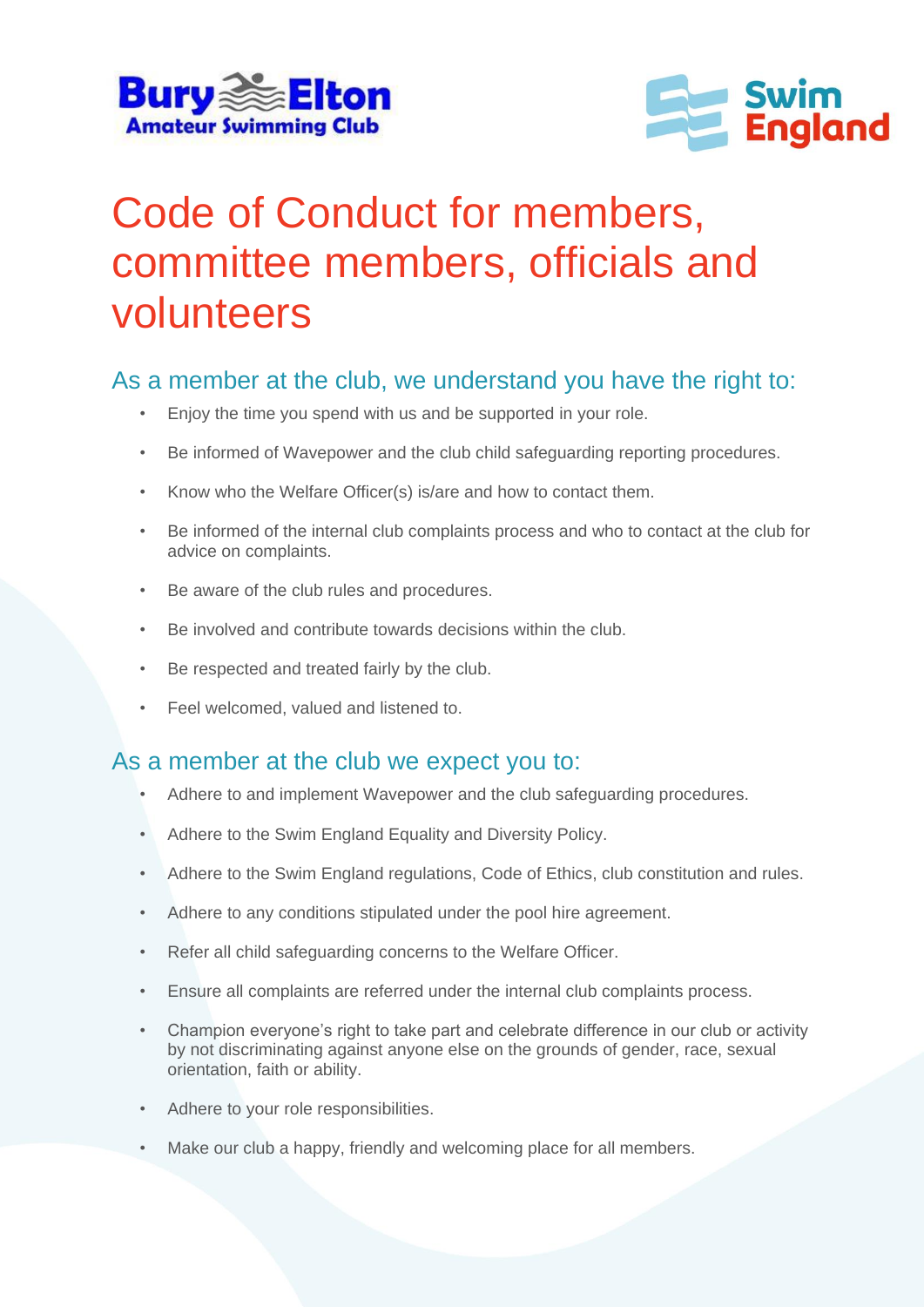



## Code of Conduct for members, committee members, officials and volunteers

## As a member at the club, we understand you have the right to:

- Enjoy the time you spend with us and be supported in your role.
- Be informed of Wavepower and the club child safeguarding reporting procedures.
- Know who the Welfare Officer(s) is/are and how to contact them.
- Be informed of the internal club complaints process and who to contact at the club for advice on complaints.
- Be aware of the club rules and procedures.
- Be involved and contribute towards decisions within the club.
- Be respected and treated fairly by the club.
- Feel welcomed, valued and listened to.

## As a member at the club we expect you to:

- Adhere to and implement Wavepower and the club safeguarding procedures.
- Adhere to the Swim England Equality and Diversity Policy.
- Adhere to the Swim England regulations, Code of Ethics, club constitution and rules.
- Adhere to any conditions stipulated under the pool hire agreement.
- Refer all child safeguarding concerns to the Welfare Officer.
- Ensure all complaints are referred under the internal club complaints process.
- Champion everyone's right to take part and celebrate difference in our club or activity by not discriminating against anyone else on the grounds of gender, race, sexual orientation, faith or ability.
- Adhere to your role responsibilities.
- Make our club a happy, friendly and welcoming place for all members.